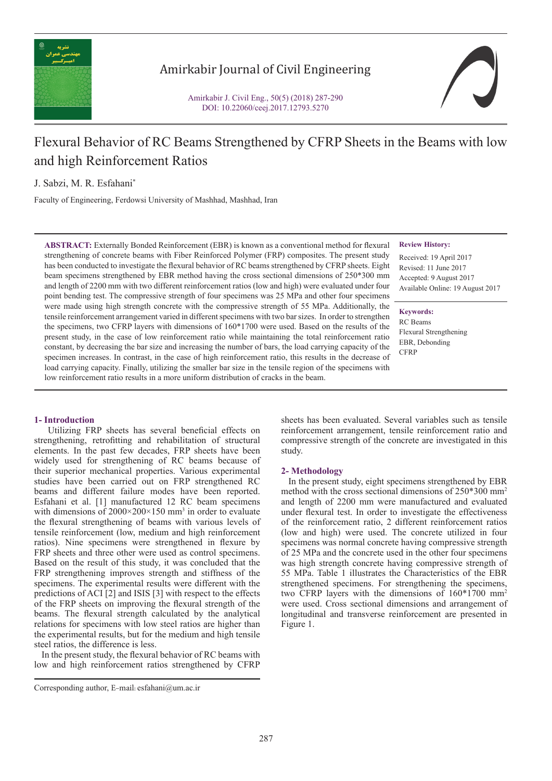

# Amirkabir Journal of Civil Engineering

Amirkabir J. Civil Eng., 50(5) (2018) 287-290 DOI: 10.22060/ceej.2017.12793.5270



# Flexural Behavior of RC Beams Strengthened by CFRP Sheets in the Beams with low and high Reinforcement Ratios

J. Sabzi, M. R. Esfahani\*

Faculty of Engineering, Ferdowsi University of Mashhad, Mashhad, Iran

**ABSTRACT:** Externally Bonded Reinforcement (EBR) is known as a conventional method for flexural strengthening of concrete beams with Fiber Reinforced Polymer (FRP) composites. The present study has been conducted to investigate the flexural behavior of RC beams strengthened by CFRP sheets. Eight beam specimens strengthened by EBR method having the cross sectional dimensions of 250\*300 mm and length of 2200 mm with two different reinforcement ratios (low and high) were evaluated under four point bending test. The compressive strength of four specimens was 25 MPa and other four specimens were made using high strength concrete with the compressive strength of 55 MPa. Additionally, the tensile reinforcement arrangement varied in different specimens with two bar sizes. In order to strengthen the specimens, two CFRP layers with dimensions of 160\*1700 were used. Based on the results of the present study, in the case of low reinforcement ratio while maintaining the total reinforcement ratio constant, by decreasing the bar size and increasing the number of bars, the load carrying capacity of the specimen increases. In contrast, in the case of high reinforcement ratio, this results in the decrease of load carrying capacity. Finally, utilizing the smaller bar size in the tensile region of the specimens with low reinforcement ratio results in a more uniform distribution of cracks in the beam.

#### **Review History:**

Received: 19 April 2017 Revised: 11 June 2017 Accepted: 9 August 2017 Available Online: 19 August 2017

**Keywords:** RC Beams Flexural Strengthening EBR, Debonding **CFRP** 

## **1- Introduction**

 Utilizing FRP sheets has several beneficial effects on strengthening, retrofitting and rehabilitation of structural elements. In the past few decades, FRP sheets have been widely used for strengthening of RC beams because of their superior mechanical properties. Various experimental studies have been carried out on FRP strengthened RC beams and different failure modes have been reported. Esfahani et al. [1] manufactured 12 RC beam specimens with dimensions of  $2000 \times 200 \times 150$  mm<sup>3</sup> in order to evaluate the flexural strengthening of beams with various levels of tensile reinforcement (low, medium and high reinforcement ratios). Nine specimens were strengthened in flexure by FRP sheets and three other were used as control specimens. Based on the result of this study, it was concluded that the FRP strengthening improves strength and stiffness of the specimens. The experimental results were different with the predictions of ACI [2] and ISIS [3] with respect to the effects of the FRP sheets on improving the flexural strength of the beams. The flexural strength calculated by the analytical relations for specimens with low steel ratios are higher than the experimental results, but for the medium and high tensile steel ratios, the difference is less.

 In the present study, the flexural behavior of RC beams with low and high reinforcement ratios strengthened by CFRP

sheets has been evaluated. Several variables such as tensile reinforcement arrangement, tensile reinforcement ratio and compressive strength of the concrete are investigated in this study.

#### **2- Methodology**

 In the present study, eight specimens strengthened by EBR method with the cross sectional dimensions of 250\*300 mm2 and length of 2200 mm were manufactured and evaluated under flexural test. In order to investigate the effectiveness of the reinforcement ratio, 2 different reinforcement ratios (low and high) were used. The concrete utilized in four specimens was normal concrete having compressive strength of 25 MPa and the concrete used in the other four specimens was high strength concrete having compressive strength of 55 MPa. Table 1 illustrates the Characteristics of the EBR strengthened specimens. For strengthening the specimens, two CFRP layers with the dimensions of 160\*1700 mm2 were used. Cross sectional dimensions and arrangement of longitudinal and transverse reinforcement are presented in Figure 1.

Corresponding author, E-mail: esfahani@um.ac.ir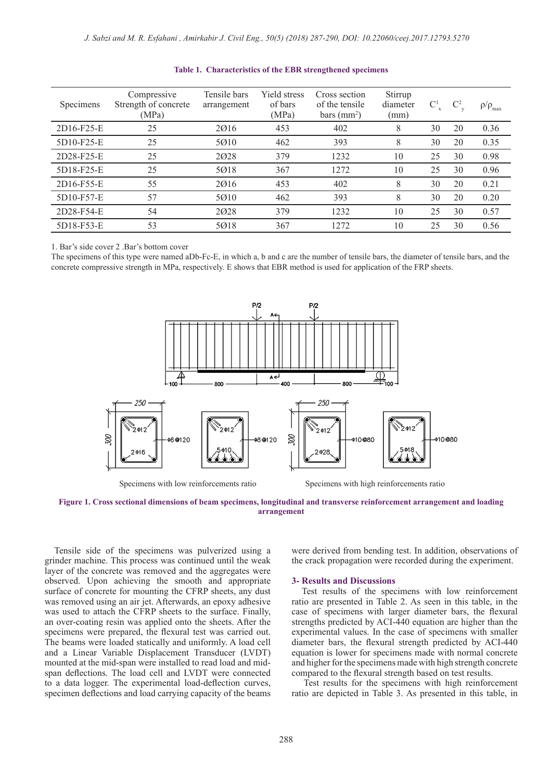| Specimens  | Compressive<br>Strength of concrete<br>(MPa) | Tensile bars<br>arrangement | <b>Yield stress</b><br>of bars<br>(MPa) | Cross section<br>of the tensile<br>bars (mm <sup>2</sup> ) | Stirrup<br>diameter<br>(mm) | $\mathbb{C}^1$ | $\mathbb{C}^2$ | $\rho/\rho_{\text{max}}$ |
|------------|----------------------------------------------|-----------------------------|-----------------------------------------|------------------------------------------------------------|-----------------------------|----------------|----------------|--------------------------|
| 2D16-F25-E | 25                                           | 2016                        | 453                                     | 402                                                        | 8                           | 30             | 20             | 0.36                     |
| 5D10-F25-E | 25                                           | 5010                        | 462                                     | 393                                                        | 8                           | 30             | 20             | 0.35                     |
| 2D28-F25-E | 25                                           | 2028                        | 379                                     | 1232                                                       | 10                          | 25             | 30             | 0.98                     |
| 5D18-F25-E | 25                                           | 5018                        | 367                                     | 1272                                                       | 10                          | 25             | 30             | 0.96                     |
| 2D16-F55-E | 55                                           | 2016                        | 453                                     | 402                                                        | 8                           | 30             | 20             | 0.21                     |
| 5D10-F57-E | 57                                           | 5010                        | 462                                     | 393                                                        | 8                           | 30             | 20             | 0.20                     |
| 2D28-F54-E | 54                                           | 2028                        | 379                                     | 1232                                                       | 10                          | 25             | 30             | 0.57                     |
| 5D18-F53-E | 53                                           | 5018                        | 367                                     | 1272                                                       | 10                          | 25             | 30             | 0.56                     |

#### **Table 1. Characteristics of the EBR strengthened specimens**

1. Bar's side cover 2 .Bar's bottom cover

The specimens of this type were named aDb-Fc-E, in which a, b and c are the number of tensile bars, the diameter of tensile bars, and the concrete compressive strength in MPa, respectively. E shows that EBR method is used for application of the FRP sheets.



**Figure 1. Cross sectional dimensions of beam specimens, longitudinal and transverse reinforcement arrangement and loading arrangement**

 Tensile side of the specimens was pulverized using a grinder machine. This process was continued until the weak layer of the concrete was removed and the aggregates were observed. Upon achieving the smooth and appropriate surface of concrete for mounting the CFRP sheets, any dust was removed using an air jet. Afterwards, an epoxy adhesive was used to attach the CFRP sheets to the surface. Finally, an over-coating resin was applied onto the sheets. After the specimens were prepared, the flexural test was carried out. The beams were loaded statically and uniformly. A load cell and a Linear Variable Displacement Transducer (LVDT) mounted at the mid-span were installed to read load and midspan deflections. The load cell and LVDT were connected to a data logger. The experimental load-deflection curves, specimen deflections and load carrying capacity of the beams were derived from bending test. In addition, observations of the crack propagation were recorded during the experiment.

#### **3- Results and Discussions**

 Test results of the specimens with low reinforcement ratio are presented in Table 2. As seen in this table, in the case of specimens with larger diameter bars, the flexural strengths predicted by ACI-440 equation are higher than the experimental values. In the case of specimens with smaller diameter bars, the flexural strength predicted by ACI-440 equation is lower for specimens made with normal concrete and higher for the specimens made with high strength concrete compared to the flexural strength based on test results.

 Test results for the specimens with high reinforcement ratio are depicted in Table 3. As presented in this table, in